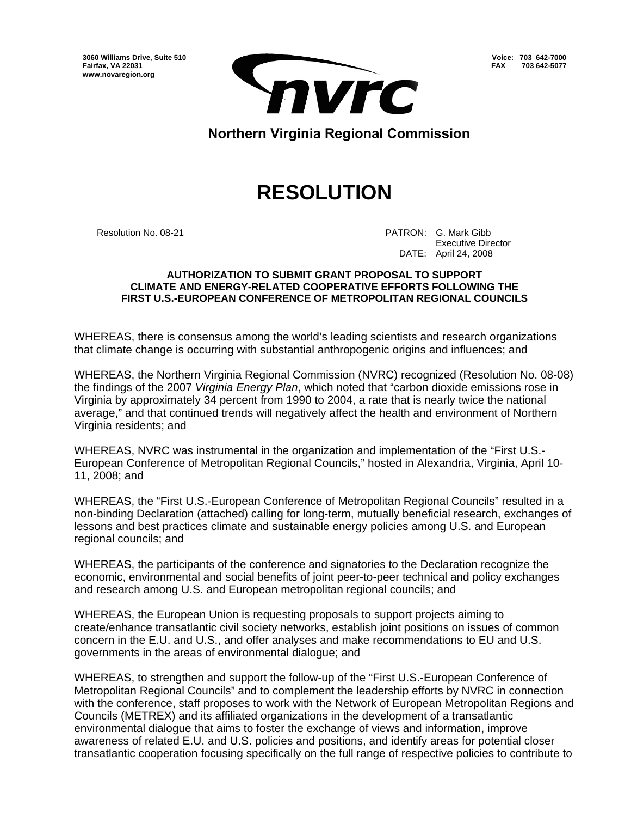**Voice: 703 642-7000 FAX 703 642-5077**

**3060 Williams Drive, Suite 510 Fairfax, VA 22031 www.novaregion.org** 



Northern Virginia Regional Commission

## **RESOLUTION**

Resolution No. 08-21 **PATRON: G. Mark Gibb** PATRON: G. Mark Gibb Executive Director DATE: April 24, 2008

## **AUTHORIZATION TO SUBMIT GRANT PROPOSAL TO SUPPORT CLIMATE AND ENERGY-RELATED COOPERATIVE EFFORTS FOLLOWING THE FIRST U.S.-EUROPEAN CONFERENCE OF METROPOLITAN REGIONAL COUNCILS**

WHEREAS, there is consensus among the world's leading scientists and research organizations that climate change is occurring with substantial anthropogenic origins and influences; and

WHEREAS, the Northern Virginia Regional Commission (NVRC) recognized (Resolution No. 08-08) the findings of the 2007 *Virginia Energy Plan*, which noted that "carbon dioxide emissions rose in Virginia by approximately 34 percent from 1990 to 2004, a rate that is nearly twice the national average," and that continued trends will negatively affect the health and environment of Northern Virginia residents; and

WHEREAS, NVRC was instrumental in the organization and implementation of the "First U.S.- European Conference of Metropolitan Regional Councils," hosted in Alexandria, Virginia, April 10- 11, 2008; and

WHEREAS, the "First U.S.-European Conference of Metropolitan Regional Councils" resulted in a non-binding Declaration (attached) calling for long-term, mutually beneficial research, exchanges of lessons and best practices climate and sustainable energy policies among U.S. and European regional councils; and

WHEREAS, the participants of the conference and signatories to the Declaration recognize the economic, environmental and social benefits of joint peer-to-peer technical and policy exchanges and research among U.S. and European metropolitan regional councils; and

WHEREAS, the European Union is requesting proposals to support projects aiming to create/enhance transatlantic civil society networks, establish joint positions on issues of common concern in the E.U. and U.S., and offer analyses and make recommendations to EU and U.S. governments in the areas of environmental dialogue; and

WHEREAS, to strengthen and support the follow-up of the "First U.S.-European Conference of Metropolitan Regional Councils" and to complement the leadership efforts by NVRC in connection with the conference, staff proposes to work with the Network of European Metropolitan Regions and Councils (METREX) and its affiliated organizations in the development of a transatlantic environmental dialogue that aims to foster the exchange of views and information, improve awareness of related E.U. and U.S. policies and positions, and identify areas for potential closer transatlantic cooperation focusing specifically on the full range of respective policies to contribute to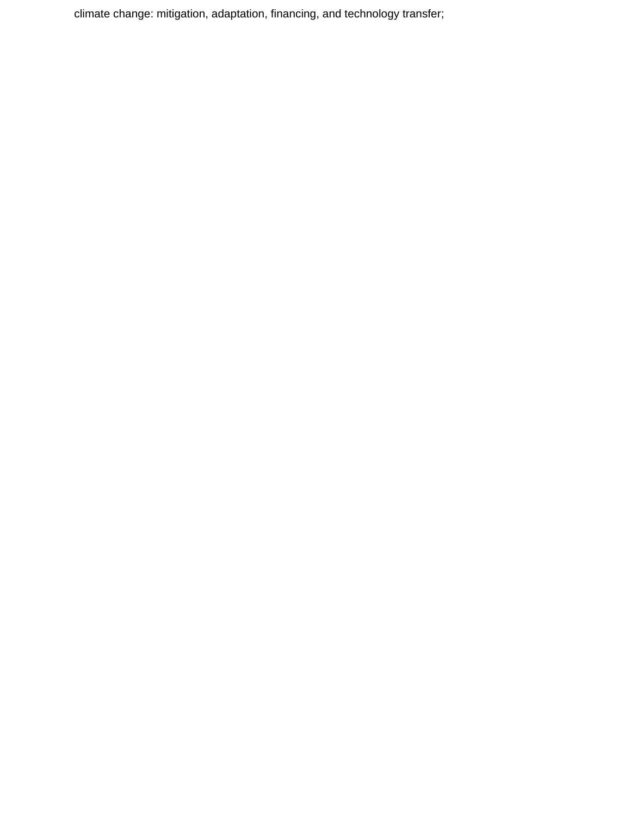climate change: mitigation, adaptation, financing, and technology transfer;